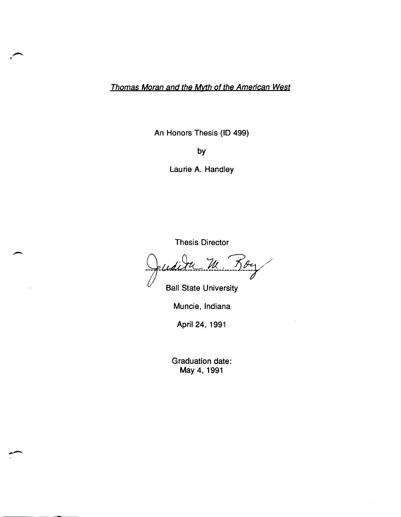Thomas Moran and the Myth of the American West

An Honors Thesis (ID 499)

by

Laurie A. Handley

Thesis Director

Thesis Director<br>Juditu M. Boy

Ball State University

Muncie, Indiana

April 24, 1991

Graduation date: May 4,1991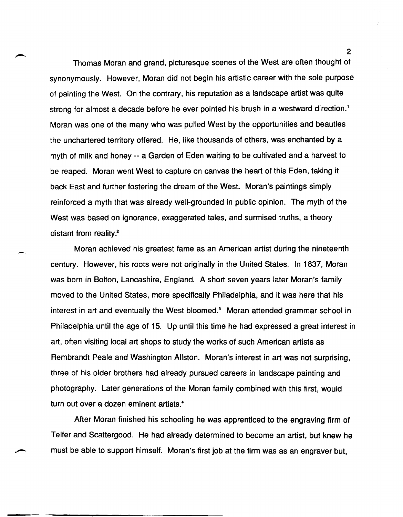Thomas Moran and grand, picturesque scenes of the West are often thought of synonymously. However, Moran did not begin his artistic career with the sole purpose of painting the West. On the contrary, his reputation as a landscape artist was quite strong for almost a decade before he ever pointed his brush in a westward direction.<sup>1</sup> Moran was one of the many who was pulled West by the opportunities and beauties the unchartered territory offered. He, like thousands of others, was enchanted by a myth of milk and honey -- a Garden of Eden waiting to be cultivated and a harvest to be reaped. Moran went West to capture on canvas the heart of this Eden, taking it back East and further fostering the dream of the West. Moran's paintings simply reinforced a myth that was already well-grounded in public opinion. The myth of the West was based on ignorance, exaggerated tales, and surmised truths, a theory distant from reality.<sup>2</sup>

Moran achieved his greatest fame as an American artist during the nineteenth century. However, his roots were not originally in the United States. In 1837, Moran was born in Bolton, Lancashire, England. A short seven years later Moran's family moved to the United States, more specifically Philadelphia, and it was here that his interest in art and eventually the West bloomed.<sup>3</sup> Moran attended grammar school in Philadelphia until the age of 15. Up until this time he had expressed a great interest in art, often visiting local art shops to study the works of such American artists as Rembrandt Peale and Washington Allston. Moran's interest in art was not surprising, three of his older brothers had already pursued careers in landscape painting and photography. Later generations of the Moran family combined with this first, would turn out over a dozen eminent artists.<sup>4</sup>

After Moran finished his schooling he was apprenticed to the engraving firm of Telfer and Scattergood. He had already determined to become an artist, but knew he must be able to support himself. Moran's first job at the firm was as an engraver but,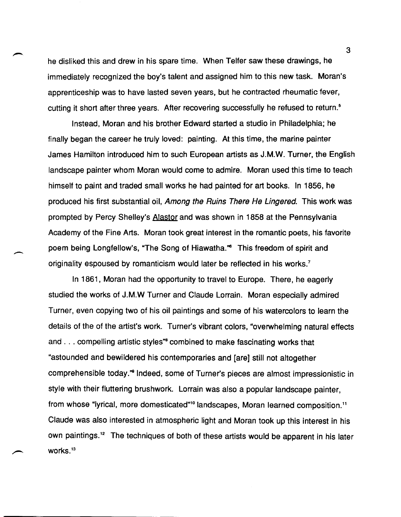he disliked this and drew in his spare time. When Telfer saw these drawings, he immediately recognized the boy's talent and assigned him to this new task. Moran's apprenticeship was to have lasted seven years, but he contracted rheumatic fever, cutting it short after three years. After recovering successfully he refused to return.<sup>5</sup>

Instead, Moran and his brother Edward started a studio in Philadelphia; he finally began the career he truly loved: painting. At this time, the marine painter James Hamilton introduced him to such European artists as J.M.W. Turner, the English landscape painter whom Moran would come to admire. Moran used this time to teach himself to paint and traded small works he had painted for art books. In 1856, he produced his first substantial oil, Among the Ruins There He Lingered. This work was prompted by Percy Shelley's Alastor and was shown in 1858 at the Pennsylvania Academy of the Fine Arts. Moran took great interest in the romantic poets, his favorite poem being Longfellow's, "The Song of Hiawatha." This freedom of spirit and originality espoused by romanticism would later be reflected in his works.<sup>7</sup>

 $\overline{\phantom{a}}$ 

In 1861, Moran had the opportunity to travel to Europe. There, he eagerly studied the works of J.M.W Turner and Claude Lorrain. Moran especially admired Turner, even copying two of his oil paintings and some of his watercolors to learn the details of the of the artist's work. Turner's vibrant colors, "overwhelming natural effects and ... compelling artistic styles<sup>"</sup> combined to make fascinating works that "astounded and bewildered his contemporaries and [are] still not altogether comprehensible today." Indeed, some of Turner's pieces are almost impressionistic in style with their fluttering brushwork. Lorrain was also a popular landscape painter, from whose "lyrical, more domesticated"<sup>10</sup> landscapes, Moran learned composition.<sup>11</sup> Claude was also interested in atmospheric light and Moran took up this interest in his own paintings.<sup>12</sup> The techniques of both of these artists would be apparent in his later works.<sup>13</sup>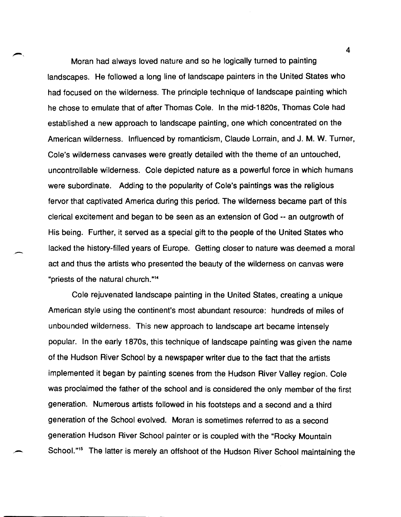Moran had always loved nature and so he logically turned to painting landscapes. He followed a long line of landscape painters in the United States who had focused on the wilderness. The principle technique of landscape painting which he chose to emulate that of after Thomas Cole. In the mid-1820s, Thomas Cole had established a new approach to landscape painting, one which concentrated on the American wilderness. Influenced by romanticism, Claude Lorrain, and J. M. W. Turner, Cole's wilderness canvases were greatly detailed with the theme of an untouched, uncontrollable wilderness. Cole depicted nature as a powerful force in which humans were subordinate. Adding to the popularity of Cole's paintings was the religious fervor that captivated America during this period. The wilderness became part of this clerical excitement and began to be seen as an extension of God -- an outgrowth of His being. Further, it served as a special gift to the people of the United States who lacked the history-filled years of Europe. Getting closer to nature was deemed a moral act and thus the artists who presented the beauty of the wilderness on canvas were "priests of the natural church. "14

 $\blacktriangleright$ 

-

Cole rejuvenated landscape painting in the United States, creating a unique American style using the continent's most abundant resource: hundreds of miles of unbounded wilderness. This new approach to landscape art became intensely popular. In the early 1870s, this technique of landscape painting was given the name of the Hudson River School by a newspaper writer due to the fact that the artists implemented it began by painting scenes from the Hudson River Valley region. Cole was proclaimed the father of the school and is considered the only member of the first generation. Numerous artists followed in his footsteps and a second and a third generation of the School evolved. Moran is sometimes referred to as a second generation Hudson River School painter or is coupled with the "Rocky Mountain School."<sup>15</sup> The latter is merely an offshoot of the Hudson River School maintaining the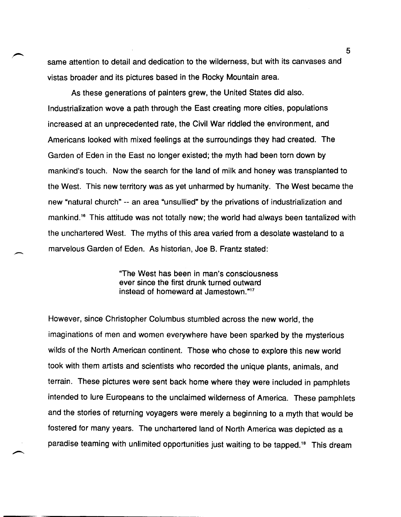same attention to detail and dedication to the wilderness, but with its canvases and vistas broader and its pictures based in the Rocky Mountain area.

As these generations of painters grew, the United States did also. Industrialization wove a path through the East creating more cities, populations increased at an unprecedented rate, the Civil War riddled the environment, and Americans looked with mixed feelings at the surroundings they had created. The Garden of Eden in the East no longer existed; the myth had been torn down by mankind's touch. Now the search for the land of milk and honey was transplanted to the West. This new territory was as yet unharmed by humanity. The West became the new "natural church" -- an area "unsullied" by the privations of industrialization and mankind.16 This attitude was not totally new; the world had always been tantalized with the unchartered West. The myths of this area varied from a desolate wasteland to a marvelous Garden of Eden. As historian, Joe B. Frantz stated:

> "The West has been in man's consciousness ever since the first drunk turned outward instead of homeward at Jamestown."17

--

However, since Christopher Columbus stumbled across the new world, the imaginations of men and women everywhere have been sparked by the mysterious wilds of the North American continent. Those who chose to explore this new world took with them artists and scientists who recorded the unique plants, animals, and terrain. These pictures were sent back home where they were included in pamphlets intended to lure Europeans to the unclaimed wilderness of America. These pamphlets and the stories of returning voyagers were merely a beginning to a myth that would be fostered for many years. The unchartered land of North America was depicted as a paradise teaming with unlimited opportunities just waiting to be tapped.<sup>18</sup> This dream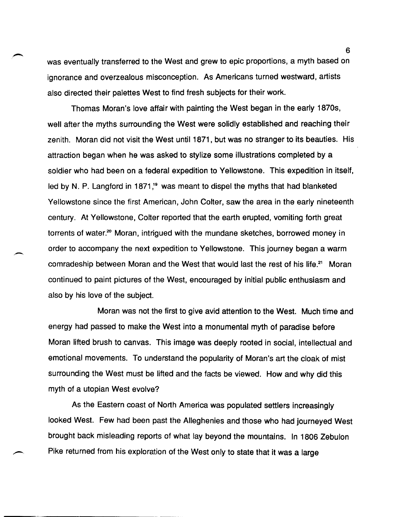was eventually transferred to the West and grew to epic proportions, a myth based on ignorance and overzealous misconception. As Americans turned westward, artists also directed their palettes West to find fresh subjects for their work.

Thomas Moran's love affair with painting the West began in the early 1870s, well after the myths surrounding the West were solidly established and reaching their zenith. Moran did not visit the West until 1871, but was no stranger to its beauties. His attraction began when he was asked to stylize some illustrations completed by a soldier who had been on a federal expedition to Yellowstone. This expedition in itself, led by N. P. Langford in 1871,<sup>19</sup> was meant to dispel the myths that had blanketed Yellowstone since the first American, John Colter, saw the area in the early nineteenth century. At Yellowstone, Colter reported that the earth erupted, vomiting forth great torrents of water.<sup>20</sup> Moran, intrigued with the mundane sketches, borrowed money in order to accompany the next expedition to Yellowstone. This journey began a warm comradeship between Moran and the West that would last the rest of his life.<sup>21</sup> Moran continued to paint pictures of the West, encouraged by initial public enthusiasm and also by his love of the subject.

Moran was not the first to give avid attention to the West. Much time and energy had passed to make the West into a monumental myth of paradise before Moran lifted brush to canvas. This image was deeply rooted in social, intellectual and emotional movements. To understand the popularity of Moran's art the cloak of mist surrounding the West must be lifted and the facts be viewed. How and why did this myth of a utopian West evolve?

As the Eastern coast of North America was populated settlers increasingly looked West. Few had been past the Alleghenies and those who had journeyed West brought back misleading reports of what lay beyond the mountains. In 1806 Zebulon Pike returned from his exploration of the West only to state that it was a large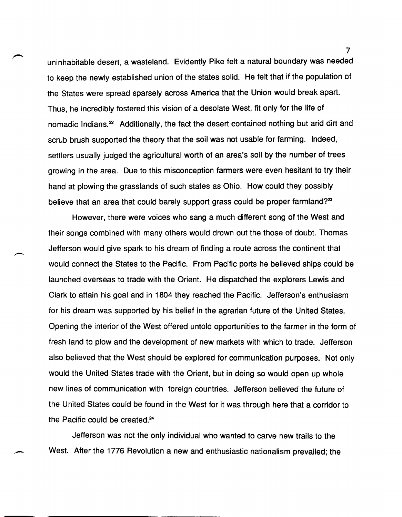uninhabitable desert, a wasteland. Evidently Pike felt a natural boundary was needed to keep the newly established union of the states solid. He felt that if the population of the States were spread sparsely across America that the Union would break apart. Thus, he incredibly fostered this vision of a desolate West, fit only for the life of nomadic Indians.<sup>22</sup> Additionally, the fact the desert contained nothing but arid dirt and scrub brush supported the theory that the soil was not usable for farming. Indeed, settlers usually judged the agricultural worth of an area's soil by the number of trees growing in the area. Due to this misconception farmers were even hesitant to try their hand at plowing the grasslands of such states as Ohio. How could they possibly believe that an area that could barely support grass could be proper farmland?<sup>23</sup>

However, there were voices who sang a much different song of the West and their songs combined with many others would drown out the those of doubt. Thomas Jefferson would give spark to his dream of finding a route across the continent that would connect the States to the Pacific. From Pacific ports he believed ships could be launched overseas to trade with the Orient. He dispatched the explorers Lewis and Clark to attain his goal and in 1804 they reached the Pacific. Jefferson's enthusiasm for his dream was supported by his belief in the agrarian future of the United States. Opening the interior of the West offered untold opportunities to the farmer in the form of fresh land to plow and the development of new markets with which to trade. Jefferson also believed that the West should be explored for communication purposes. Not only would the United States trade with the Orient, but in doing so would open up whole new lines of communication with foreign countries. Jefferson believed the future of the United States could be found in the West for it was through here that a corridor to the Pacific could be created.<sup>24</sup>

Jefferson was not the only individual who wanted to carve new trails to the West. After the 1776 Revolution a new and enthusiastic nationalism prevailed; the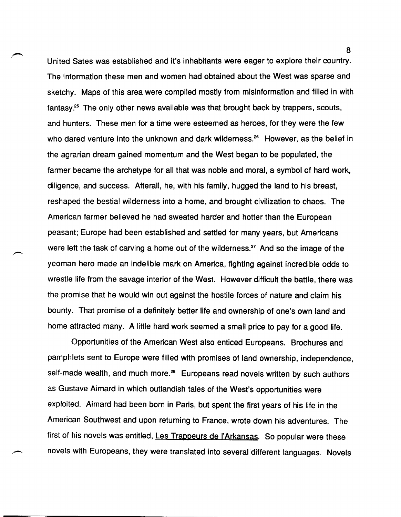United Sates was established and it's inhabitants were eager to explore their country. The information these men and women had obtained about the West was sparse and sketchy. Maps of this area were compiled mostly from misinformation and filled in with fantasy.25 The only other news available was that brought back by trappers, scouts, and hunters. These men for a time were esteemed as heroes, for they were the few who dared venture into the unknown and dark wilderness.<sup>26</sup> However, as the belief in the agrarian dream gained momentum and the West began to be populated, the farmer became the archetype for all that was noble and moral, a symbol of hard work, diligence, and success. Afterall, he, with his family, hugged the land to his breast, reshaped the bestial wilderness into a home, and brought civilization to chaos. The American farmer believed he had sweated harder and hotter than the European peasant; Europe had been established and settled for many years, but Americans were left the task of carving a home out of the wilderness.<sup>27</sup> And so the image of the yeoman hero made an indelible mark on America, fighting against incredible odds to wrestle life from the savage interior of the West. However difficult the battle, there was the promise that he would win out against the hostile forces of nature and claim his bounty. That promise of a definitely better life and ownership of one's own land and home attracted many. A little hard work seemed a small price to pay for a good life.

Opportunities of the American West also enticed Europeans. Brochures and pamphlets sent to Europe were filled with promises of land ownership, independence, self-made wealth, and much more.<sup>28</sup> Europeans read novels written by such authors as Gustave Aimard in which outlandish tales of the West's opportunities were exploited. Aimard had been born in Paris, but spent the first years of his life in the American Southwest and upon returning to France, wrote down his adventures. The first of his novels was entitled, Les Trappeurs de l'Arkansas. So popular were these novels with Europeans, they were translated into several different languages. Novels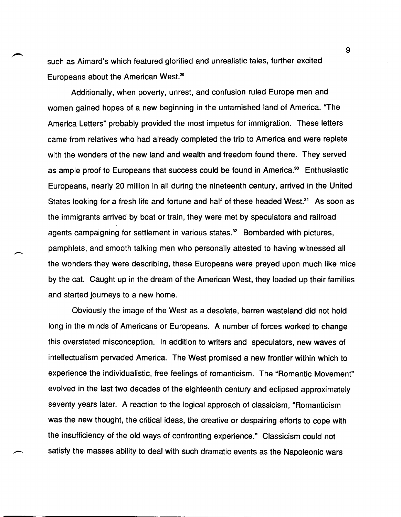such as Aimard's which featured glorified and unrealistic tales, further excited Europeans about the American West.<sup>29</sup>

Additionally, when poverty, unrest, and confusion ruled Europe men and women gained hopes of a new beginning in the untarnished land of America. "The America Letters" probably provided the most impetus for immigration. These letters came from relatives who had already completed the trip to America and were replete with the wonders of the new land and wealth and freedom found there. They served as ample proof to Europeans that success could be found in America.<sup>30</sup> Enthusiastic Europeans, nearly 20 million in all during the nineteenth century, arrived in the United States looking for a fresh life and fortune and half of these headed West.<sup>31</sup> As soon as the immigrants arrived by boat or train, they were met by speculators and railroad agents campaigning for settlement in various states. $<sup>32</sup>$  Bombarded with pictures,</sup> pamphlets, and smooth talking men who personally attested to having witnessed all the wonders they were describing, these Europeans were preyed upon much like mice by the cat. Caught up in the dream of the American West, they loaded up their families and started journeys to a new home.

-

Obviously the image of the West as a desolate, barren wasteland did not hold long in the minds of Americans or Europeans. A number of forces worked to change this overstated misconception. In addition to writers and speculators, new waves of intellectualism pervaded America. The West promised a new frontier within which to experience the individualistic, free feelings of romanticism. The "Romantic Movement" evolved in the last two decades of the eighteenth century and eclipsed approximately seventy years later. A reaction to the logical approach of classicism, "Romanticism was the new thought, the critical ideas, the creative or despairing efforts to cope with the insufficiency of the old ways of confronting experience." Classicism could not satisfy the masses ability to deal with such dramatic events as the Napoleonic wars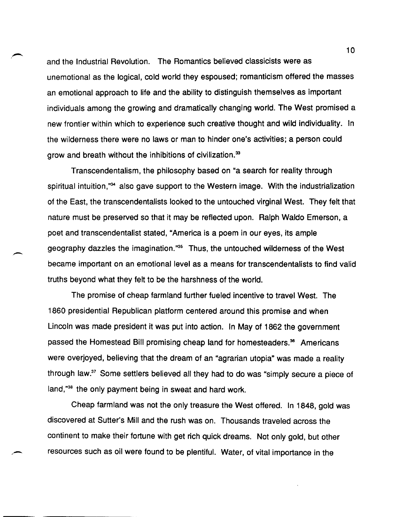and the Industrial Revolution. The Romantics believed classicists were as unemotional as the logical, cold world they espoused; romanticism offered the masses an emotional approach to life and the ability to distinguish themselves as important individuals among the growing and dramatically changing world. The West promised a new frontier within which to experience such creative thought and wild individuality. In the wilderness there were no laws or man to hinder one's activities; a person could grow and breath without the inhibitions of civilization.33

Transcendentalism, the philosophy based on "a search for reality through spiritual intuition,"<sup>34</sup> also gave support to the Western image. With the industrialization of the East, the transcendentalists looked to the untouched virginal West. They felt that nature must be preserved so that it may be reflected upon. Ralph Waldo Emerson, a poet and transcendentalist stated, "America is a poem in our eyes, its ample geography dazzles the imagination."3s Thus, the untouched wilderness of the West became important on an emotional level as a means for transcendentalists to find valid truths beyond what they felt to be the harshness of the world.

-

The promise of cheap farmland further fueled incentive to travel West. The 1860 presidential Republican platform centered around this promise and when Lincoln was made president it was put into action. In May of 1862 the government passed the Homestead Bill promising cheap land for homesteaders.<sup>36</sup> Americans were overjoyed, believing that the dream of an "agrarian utopia" was made a reality through law.37 Some settlers believed all they had to do was "simply secure a piece of land,"<sup>38</sup> the only payment being in sweat and hard work.

Cheap farmland was not the only treasure the West offered. In 1848, gold was discovered at Sutter's Mill and the rush was on. Thousands traveled across the continent to make their fortune with get rich quick dreams. Not only gold, but other resources such as oil were found to be plentiful. Water, of vital importance in the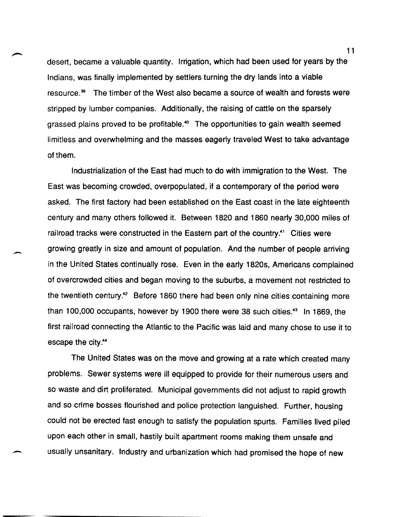desert, became a valuable quantity. Irrigation, which had been used for years by the Indians, was finally implemented by settlers turning the dry lands into a viable resource.<sup>39</sup> The timber of the West also became a source of wealth and forests were stripped by lumber companies. Additionally, the raising of cattle on the sparsely grassed plains proved to be profitable.<sup>40</sup> The opportunities to gain wealth seemed limitless and overwhelming and the masses eagerly traveled West to take advantage of them.

Industrialization of the East had much to do with immigration to the West. The East was becoming crowded, overpopulated, if a contemporary of the period were asked. The first factory had been established on the East coast in the late eighteenth century and many others followed it. Between 1820 and 1860 nearly 30,000 miles of railroad tracks were constructed in the Eastern part of the country.<sup>41</sup> Cities were growing greatly in size and amount of population. And the number of people arriving in the United States continually rose. Even in the early 1820s, Americans complained of overcrowded cities and began moving to the suburbs, a movement not restricted to the twentieth century.<sup>42</sup> Before 1860 there had been only nine cities containing more than 100,000 occupants, however by 1900 there were 38 such cities.<sup>43</sup> In 1869, the first railroad connecting the Atlantic to the Pacific was laid and many chose to use it to escape the city.44

-

The United States was on the move and growing at a rate which created many problems. Sewer systems were ill equipped to provide for their numerous users and so waste and dirt proliferated. Municipal governments did not adjust to rapid growth and so crime bosses flourished and police protection languished. Further, housing could not be erected fast enough to satisfy the population spurts. Families lived piled upon each other in small, hastily built apartment rooms making them unsafe and usually unsanitary. Industry and urbanization which had promised the hope of new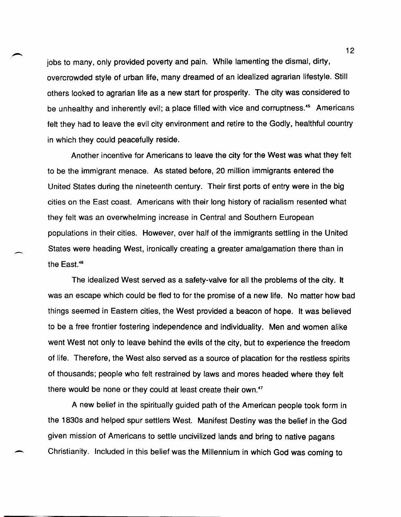jobs to many, only provided poverty and pain. While lamenting the dismal, dirty, overcrowded style of urban life, many dreamed of an idealized agrarian lifestyle. Still others looked to agrarian life as a new start for prosperity. The city was considered to be unhealthy and inherently evil; a place filled with vice and corruptness.<sup>45</sup> Americans felt they had to leave the evil city environment and retire to the Godly, healthful country in which they could peacefully reside.

Another incentive for Americans to leave the city for the West was what they felt to be the immigrant menace. As stated before, 20 million immigrants entered the United States during the nineteenth century. Their first ports of entry were in the big cities on the East coast. Americans with their long history of racialism resented what they felt was an overwhelming increase in Central and Southern European populations in their cities. However, over half of the immigrants settling in the United States were heading West, ironically creating a greater amalgamation there than in the East.<sup>46</sup>

The idealized West served as a safety-valve for all the problems of the city. It was an escape which could be fled to for the promise of a new life. No matter how bad things seemed in Eastern cities, the West provided a beacon of hope. It was believed to be a free frontier fostering independence and individuality. Men and women alike went West not only to leave behind the evils of the city, but to experience the freedom of life. Therefore, the West also served as a source of placation for the restless spirits of thousands; people who felt restrained by laws and mores headed where they felt there would be none or they could at least create their own.<sup>47</sup>

A new belief in the spiritually guided path of the American people took form in the 1830s and helped spur settlers West. Manifest Destiny was the belief in the God given mission of Americans to settle uncivilized lands and bring to native pagans Christianity. Included in this belief was the Millennium in which God was coming to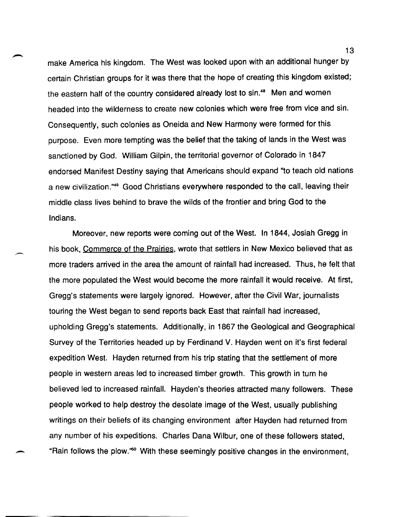make America his kingdom. The West was looked upon with an additional hunger by certain Christian groups for it was there that the hope of creating this kingdom existed; the eastern half of the country considered already lost to sin.<sup>48</sup> Men and women headed into the wilderness to create new colonies which were free from vice and sin. Consequently, such colonies as Oneida and New Harmony were formed for this purpose. Even more tempting was the belief that the taking of lands in the West was sanctioned by God. William Gilpin, the territorial governor of Colorado in 1847 endorsed Manifest Destiny saying that Americans should expand ''to teach old nations a new civilization."49 Good Christians everywhere responded to the call, leaving their middle class lives behind to brave the wilds of the frontier and bring God to the Indians.

Moreover, new reports were coming out of the West. In 1844, Josiah Gregg in his book, Commerce of the Prairies, wrote that settlers in New Mexico believed that as more traders arrived in the area the amount of rainfall had increased. Thus, he felt that the more populated the West would become the more rainfall it would receive. At first, Gregg's statements were largely ignored. However, after the Civil War, journalists touring the West began to send reports back East that rainfall had increased, upholding Gregg's statements. Additionally, in 1867 the Geological and Geographical Survey of the Territories headed up by Ferdinand V. Hayden went on it's first federal expedition West. Hayden returned from his trip stating that the settlement of more people in western areas led to increased timber growth. This growth in turn he believed led to increased rainfall. Hayden's theories attracted many followers. These people worked to help destroy the desolate image of the West, usually publishing writings on their beliefs of its changing environment after Hayden had returned from any number of his expeditions. Charles Dana Wilbur, one of these followers stated, "Rain follows the plow."<sup>60</sup> With these seemingly positive changes in the environment,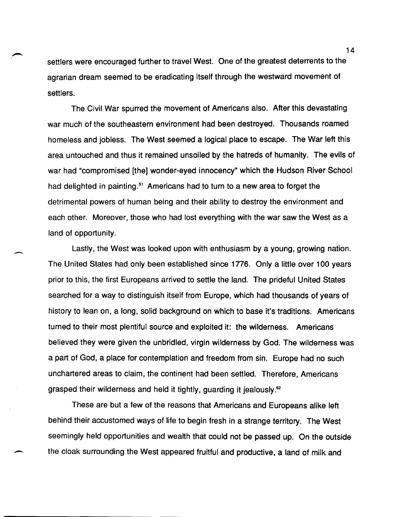settlers were encouraged further to travel West. One of the greatest deterrents to the agrarian dream seemed to be eradicating itself through the westward movement of settlers.

The Civil War spurred the movement of Americans also. After this devastating war much of the southeastern environment had been destroyed. Thousands roamed homeless and jobless. The West seemed a logical place to escape. The War left this area untouched and thus it remained unsoiled by the hatreds of humanity. The evils of war had "compromised [the] wonder-eyed innocency" which the Hudson River School had delighted in painting.<sup>51</sup> Americans had to turn to a new area to forget the detrimental powers of human being and their ability to destroy the environment and each other. Moreover, those who had lost everything with the war saw the West as a land of opportunity.

Lastly, the West was looked upon with enthusiasm by a young, growing nation. The United States had only been established since 1776. Only a little over 100 years prior to this, the first Europeans arrived to settle the land. The prideful United States searched for a way to distinguish itself from Europe, which had thousands of years of history to lean on, a long, solid background on which to base it's traditions. Americans turned to their most plentiful source and exploited it: the wilderness. Americans believed they were given the unbridled, virgin wilderness by God. The wilderness was a part of God, a place for contemplation and freedom from sin. Europe had no such unchartered areas to claim, the continent had been settled. Therefore, Americans grasped their wilderness and held it tightly, guarding it jealously.<sup>52</sup>

-

These are but a few of the reasons that Americans and Europeans alike left behind their accustomed ways of life to begin fresh in a strange territory. The West seemingly held opportunities and wealth that could not be passed up. On the outside the cloak surrounding the West appeared fruitful and productive, a land of milk and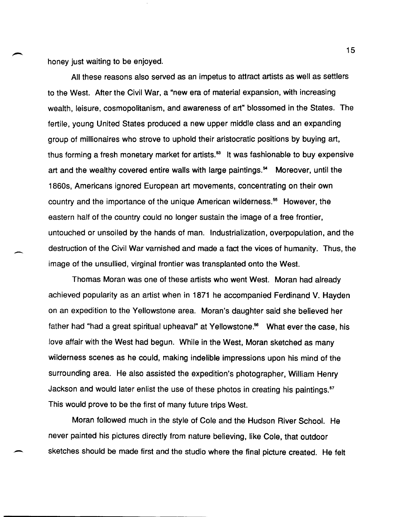honey just waiting to be enjoyed.

-

All these reasons also served as an impetus to attract artists as well as settlers to the West. After the Civil War, a "new era of material expansion, with increasing wealth, leisure, cosmopolitanism, and awareness of art" blossomed in the States. The fertile, young United States produced a new upper middle class and an expanding group of millionaires who strove to uphold their aristocratic positions by buying art, thus forming a fresh monetary market for artists.<sup>53</sup> It was fashionable to buy expensive art and the wealthy covered entire walls with large paintings.<sup>54</sup> Moreover, until the 1860s, Americans ignored European art movements, concentrating on their own country and the importance of the unique American wilderness.<sup>55</sup> However, the eastern half of the country could no longer sustain the image of a free frontier, untouched or unsoiled by the hands of man. Industrialization, overpopulation, and the destruction of the Civil War varnished and made a fact the vices of humanity. Thus, the image of the unsullied, virginal frontier was transplanted onto the West.

Thomas Moran was one of these artists who went West. Moran had already achieved popularity as an artist when in 1871 he accompanied Ferdinand V. Hayden on an expedition to the Yellowstone area. Moran's daughter said she believed her father had "had a great spiritual upheaval" at Yellowstone.<sup>56</sup> What ever the case, his love affair with the West had begun. While in the West, Moran sketched as many wilderness scenes as he could, making indelible impressions upon his mind of the surrounding area. He also assisted the expedition's photographer, William Henry Jackson and would later enlist the use of these photos in creating his paintings.<sup>57</sup> This would prove to be the first of many future trips West.

Moran followed much in the style of Cole and the Hudson River School. He never painted his pictures directly from nature believing, like Cole, that outdoor sketches should be made first and the studio where the final picture created. He felt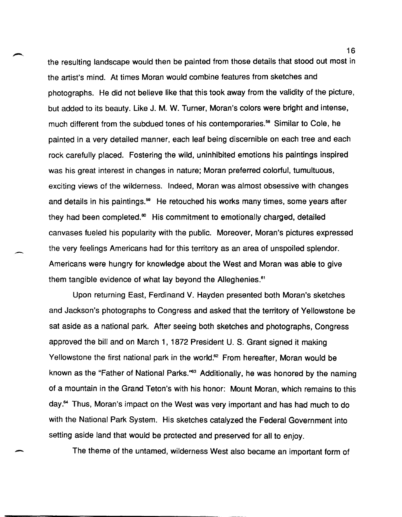the resulting landscape would then be painted from those details that stood out most in the artist's mind. At times Moran would combine features from sketches and photographs. He did not believe like that this took away from the validity of the picture, but added to its beauty. Like J. M. W. Turner, Moran's colors were bright and intense, much different from the subdued tones of his contemporaries.<sup>58</sup> Similar to Cole, he painted in a very detailed manner, each leaf being discernible on each tree and each rock carefully placed. Fostering the wild, uninhibited emotions his paintings inspired was his great interest in changes in nature; Moran preferred colorful, tumultuous, exciting views of the wilderness. Indeed, Moran was almost obsessive with changes and details in his paintings.<sup>59</sup> He retouched his works many times, some years after they had been completed. $\infty$  His commitment to emotionally charged, detailed canvases fueled his popularity with the public. Moreover, Moran's pictures expressed the very feelings Americans had for this territory as an area of unspoiled splendor. Americans were hungry for knowledge about the West and Moran was able to give them tangible evidence of what lay beyond the Alleghenies.<sup>61</sup>

-

-

Upon returning East, Ferdinand V. Hayden presented both Moran's sketches and Jackson's photographs to Congress and asked that the territory of Yellowstone be sat aside as a national park. After seeing both sketches and photographs, Congress approved the bill and on March 1, 1872 President U. S. Grant signed it making Yellowstone the first national park in the world.<sup>62</sup> From hereafter, Moran would be known as the "Father of National Parks."<sup>63</sup> Additionally, he was honored by the naming of a mountain in the Grand Teton's with his honor: Mount Moran, which remains to this day.<sup>64</sup> Thus, Moran's impact on the West was very important and has had much to do with the National Park System. His sketches catalyzed the Federal Government into setting aside land that would be protected and preserved for all to enjoy.

The theme of the untamed, wilderness West also became an important form of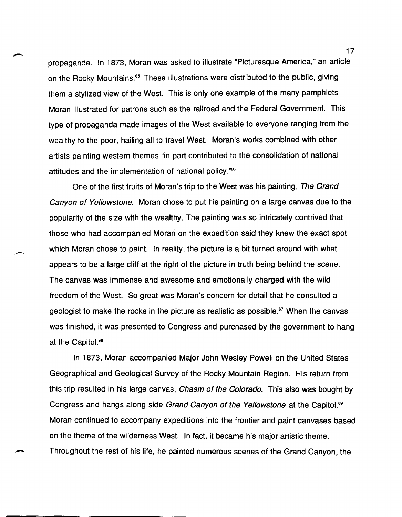propaganda. In 1873, Moran was asked to illustrate "Picturesque America," an article on the Rocky Mountains.<sup>65</sup> These illustrations were distributed to the public, giving them a stylized view of the West. This is only one example of the many pamphlets Moran illustrated for patrons such as the railroad and the Federal Government. This type of propaganda made images of the West available to everyone ranging from the wealthy to the poor, hailing all to travel West. Moran's works combined with other artists painting western themes "in part contributed to the consolidation of national attitudes and the implementation of national policy."<sup>66</sup>

One of the first fruits of Moran's trip to the West was his painting, The Grand Canyon of Yellowstone. Moran chose to put his painting on a large canvas due to the popularity of the size with the wealthy. The painting was so intricately contrived that those who had accompanied Moran on the expedition said they knew the exact spot which Moran chose to paint. In reality, the picture is a bit turned around with what appears to be a large cliff at the right of the picture in truth being behind the scene. The canvas was immense and awesome and emotionally charged with the wild freedom of the West. So great was Moran's concern for detail that he consulted a geologist to make the rocks in the picture as realistic as possible.<sup>67</sup> When the canvas was finished, it was presented to Congress and purchased by the government to hang at the Capitol.<sup>68</sup>

-

In 1873, Moran accompanied Major John Wesley Powell on the United States Geographical and Geological Survey of the Rocky Mountain Region. His return from this trip resulted in his large canvas, *Chasm of the Colorado*. This also was bought by Congress and hangs along side Grand Canyon of the Yellowstone at the Capitol.<sup>89</sup> Moran continued to accompany expeditions into the frontier and paint canvases based on the theme of the wilderness West. In fact, it became his major artistic theme. Throughout the rest of his life, he painted numerous scenes of the Grand Canyon, the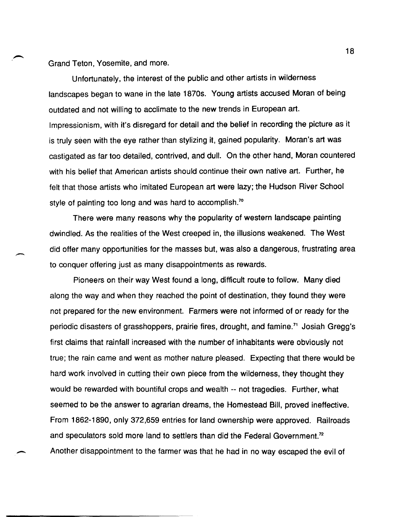Grand Teton, Yosemite, and more.

Unfortunately, the interest of the public and other artists in wilderness landscapes began to wane in the late 1870s. Young artists accused Moran of being outdated and not willing to acclimate to the new trends in European art. Impressionism, with it's disregard for detail and the belief in recording the picture as it is truly seen with the eye rather than stylizing it, gained popularity. Moran's art was castigated as far too detailed, contrived, and dull. On the other hand, Moran countered with his belief that American artists should continue their own native art. Further, he felt that those artists who imitated European art were lazy; the Hudson River School style of painting too long and was hard to accomplish.<sup>70</sup>

There were many reasons why the popularity of western landscape painting dwindled. As the realities of the West creeped in, the illusions weakened. The West did offer many opportunities for the masses but, was also a dangerous, frustrating area to conquer offering just as many disappointments as rewards.

Pioneers on their way West found a long, difficult route to follow. Many died along the way and when they reached the point of destination, they found they were not prepared for the new environment. Farmers were not informed of or ready for the periodic disasters of grasshoppers, prairie fires, drought, and famine.<sup>71</sup> Josiah Gregg's first claims that rainfall increased with the number of inhabitants were obviously not true; the rain came and went as mother nature pleased. Expecting that there would be hard work involved in cutting their own piece from the wilderness, they thought they would be rewarded with bountiful crops and wealth -- not tragedies. Further, what seemed to be the answer to agrarian dreams, the Homestead Bill, proved ineffective. From 1862-1890, only 372,659 entries for land ownership were approved. Railroads and speculators sold more land to settlers than did the Federal Government.<sup>72</sup> - Another disappointment to the farmer was that he had in no way escaped the evil of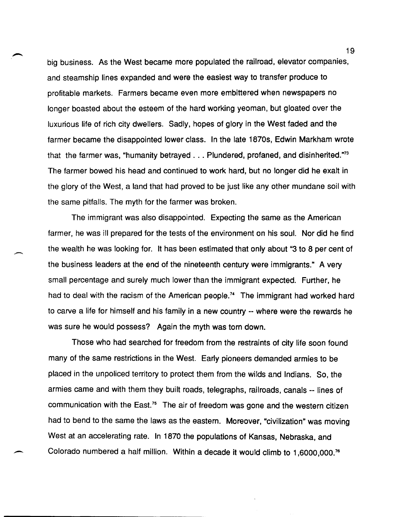big business. As the West became more populated the railroad, elevator companies, and steamship lines expanded and were the easiest way to transfer produce to profitable markets. Farmers became even more embittered when newspapers no longer boasted about the esteem of the hard working yeoman, but gloated over the luxurious life of rich city dwellers. Sadly, hopes of glory in the West faded and the farmer became the disappointed lower class. In the late 1870s, Edwin Markham wrote that the farmer was, "humanity betrayed ... Plundered, profaned, and disinherited."73 The farmer bowed his head and continued to work hard, but no longer did he exalt in the glory of the West, a land that had proved to be just like any other mundane soil with the same pitfalls. The myth for the farmer was broken.

The immigrant was also disappointed. Expecting the same as the American farmer, he was ill prepared for the tests of the environment on his soul. Nor did he find the wealth he was looking for. It has been estimated that only about "3 to 8 per cent of the business leaders at the end of the nineteenth century were immigrants." A very small percentage and surely much lower than the immigrant expected. Further, he had to deal with the racism of the American people.<sup>74</sup> The immigrant had worked hard to carve a life for himself and his family in a new country -- where were the rewards he was sure he would possess? Again the myth was torn down.

Those who had searched for freedom from the restraints of city life soon found many of the same restrictions in the West. Early pioneers demanded armies to be placed in the unpoliced territory to protect them from the wilds and Indians. So, the armies came and with them they built roads, telegraphs, railroads, canals -- lines of communication with the East.<sup>75</sup> The air of freedom was gone and the western citizen had to bend to the same the laws as the eastern. Moreover, "civilization" was moving West at an accelerating rate. In 1870 the populations of Kansas, Nebraska, and Colorado numbered a half million. Within a decade it would climb to 1,6000,000.<sup>76</sup>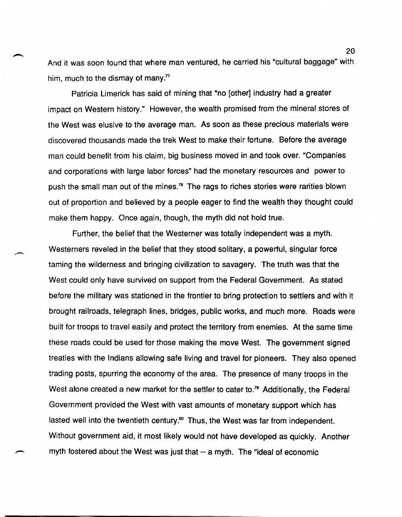And it was soon found that where man ventured, he carried his "cultural baggage" with him, much to the dismay of many. $77$ 

Patricia Limerick has said of mining that "no [other] industry had a greater impact on Western history." However, the wealth promised from the mineral stores of the West was elusive to the average man. As soon as these precious materials were discovered thousands made the trek West to make their fortune. Before the average man could benefit from his claim, big business moved in and took over. "Companies and corporations with large labor forces" had the monetary resources and power to push the small man out of the mines.<sup>78</sup> The rags to riches stories were rarities blown out of proportion and believed by a people eager to find the wealth they thought could make them happy. Once again, though, the myth did not hold true.

.-

Further, the belief that the Westerner was totally independent was a myth. Westerners reveled in the belief that they stood solitary, a powerful, singular force taming the wilderness and bringing civilization to savagery. The truth was that the West could only have survived on support from the Federal Government. As stated before the military was stationed in the frontier to bring protection to settlers and with it brought railroads, telegraph lines, bridges, public works, and much more. Roads were built for troops to travel easily and protect the territory from enemies. At the same time these roads could be used for those making the move West. The government signed treaties with the Indians allowing safe living and travel for pioneers. They also opened trading posts, spurring the economy of the area. The presence of many troops in the West alone created a new market for the settler to cater to.<sup>79</sup> Additionally, the Federal Government provided the West with vast amounts of monetary support which has lasted well into the twentieth century.<sup>80</sup> Thus, the West was far from independent. Without government aid, it most likely would not have developed as quickly. Another myth fostered about the West was just that -- a myth. The "ideal of economic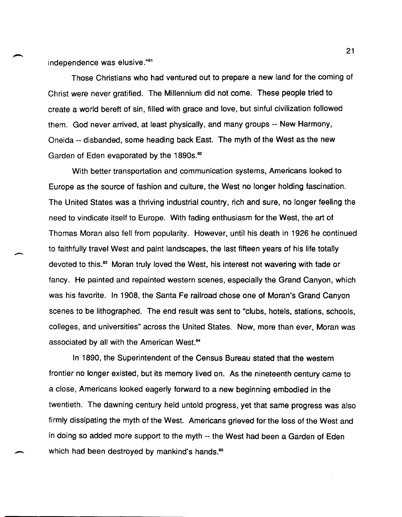independence was elusive."81

-

Those Christians who had ventured out to prepare a new land for the coming of Christ were never gratified. The Millennium did not come. These people tried to create a world bereft of sin, filled with grace and love, but sinful civilization followed them. God never arrived, at least physically, and many groups -- New Harmony, Oneida -- disbanded, some heading back East. The myth of the West as the new Garden of Eden evaporated by the 1890s.<sup>82</sup>

With better transportation and communication systems, Americans looked to Europe as the source of fashion and culture, the West no longer holding fascination. The United States was a thriving industrial country, rich and sure, no longer feeling the need to vindicate itself to Europe. With fading enthusiasm for the West, the art of Thomas Moran also fell from popularity. However, until his death in 1926 he continued to faithfully travel West and paint landscapes, the last fifteen years of his life totally devoted to this.<sup>83</sup> Moran truly loved the West, his interest not wavering with fade or fancy. He painted and repainted western scenes, especially the Grand Canyon, which was his favorite. In 1908, the Santa Fe railroad chose one of Moran's Grand Canyon scenes to be lithographed. The end result was sent to "clubs, hotels, stations, schools, colleges, and universities" across the United States. Now, more than ever, Moran was associated by all with the American West.<sup>84</sup>

In 1890, the Superintendent of the Census Bureau stated that the western frontier no longer existed, but its memory lived on. As the nineteenth century came to a close, Americans looked eagerly forward to a new beginning embodied in the twentieth. The dawning century held untold progress, yet that same progress was also firmly dissipating the myth of the West. Americans grieved for the loss of the West and in doing so added more support to the myth -- the West had been a Garden of Eden which had been destroyed by mankind's hands.<sup>85</sup>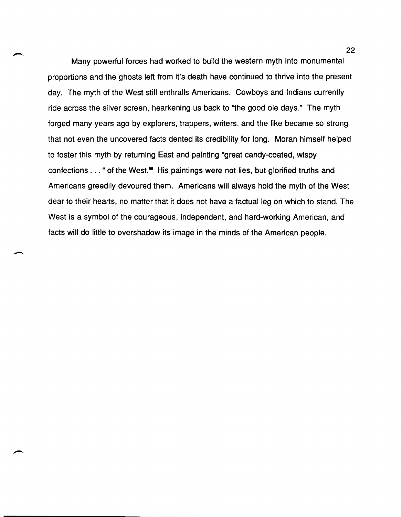Many powerful forces had worked to build the western myth into monumental proportions and the ghosts left from it's death have continued to thrive into the present day. The myth of the West still enthralls Americans. Cowboys and Indians currently ride across the silver screen, hearkening us back to "the good ole days." The myth forged many years ago by explorers, trappers, writers, and the like became so strong that not even the uncovered facts dented its credibility for long. Moran himself helped to foster this myth by returning East and painting "great candy-coated, wispy confections . . . " of the West.<sup>86</sup> His paintings were not lies, but glorified truths and Americans greedily devoured them. Americans will always hold the myth of the West dear to their hearts, no matter that it does not have a factual leg on which to stand. The West is a symbol of the courageous, independent, and hard-working American, and facts will do little to overshadow its image in the minds of the American people.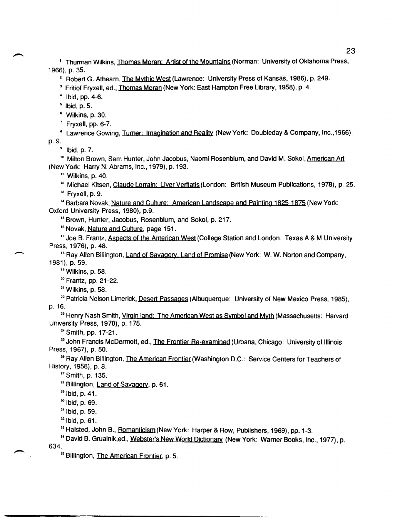<sup>1</sup> Thurman Wilkins, Thomas Moran: Artist of the Mountains (Norman: University of Oklahoma Press, 1966), p. 35.

<sup>2</sup> Robert G. Athearn, The Mythic West (Lawrence: University Press of Kansas, 1986), p. 249.

<sup>3</sup> Fritiof Fryxell, ed., Thomas Moran (New York: East Hampton Free Library, 1958), p. 4.

 $4$  Ibid, pp. 4-6.

 $<sup>5</sup>$  lbid, p. 5.</sup>

 $^6$  Wilkins, p. 30.

 $<sup>7</sup>$  Fryxell, pp. 6-7.</sup>

<sup>8</sup> Lawrence Gowing, Turner: Imagination and Reality (New York: Doubleday & Company, Inc., 1966), p.9.

 $^9$  Ibid, p. 7.

<sup>10</sup> Milton Brown, Sam Hunter, John Jacobus, Naomi Rosenblum, and David M. Sokol, American Art (New York: Harry N. Abrams, Inc., 1979), p. 193.

" Wilkins, p. 40.

<sup>12</sup> Michael Kitsen, Claude Lorrain: Liver Veritatis (London: British Museum Publications, 1978), p. 25.

 $13$  Fryxell, p. 9.

<sup>14</sup> Barbara Novak, Nature and Culture: American Landscape and Painting 1825-1875 (New York: Oxford University Press, 1980), p.9.

<sup>15</sup> Brown, Hunter, Jacobus, Rosenblum, and Sokol, p. 217.

<sup>16</sup> Novak, Nature and Culture, page 151.

<sup>17</sup> Joe B. Frantz, Aspects of the American West (College Station and London: Texas A & M University Press, 1976), p. 48.

<sup>16</sup> Ray Allen Billington, Land of Savagery, Land of Promise (New York: W. W. Norton and Company, 1981), p. 59.

<sup>19</sup>Wilkins, p. 58.

--

<sup>20</sup> Frantz, pp. 21-22.

 $21$  Wilkins, p. 58.

<sup>22</sup> Patricia Nelson Limerick, Desert Passages (Albuquerque: University of New Mexico Press, 1985), p.16.

<sup>23</sup> Henry Nash Smith, Virgin land: The American West as Symbol and Myth (Massachusetts: Harvard University Press, 1970), p. 175.

<sup>24</sup> Smith, pp. 17-21.

<sup>25</sup> John Francis McDermott, ed., The Frontier Re-examined (Urbana, Chicago: University of Illinois Press, 1967), p. 50.

<sup>26</sup> Ray Allen Billington, The American Frontier (Washington D.C.: Service Centers for Teachers of History, 1958), p. 8.

 $27$  Smith, p. 135.

<sup>28</sup> Billington, Land of Savagery, p. 61.

 $^{29}$  Ibid, p. 41.

<sup>30</sup> Ibid, p. 69.

 $31$  Ibid, p. 59.

 $32$  Ibid, p. 61.

<sup>33</sup> Halsted, John B., Romanticism (New York: Harper & Row, Publishers, 1969), pp. 1-3.

<sup>34</sup> David B. Grualnik,ed., Webster's New World Dictionary (New York: Warner Books, Inc., 1977), p. 634.

<sup>35</sup> Billington, The American Frontier, p. 5.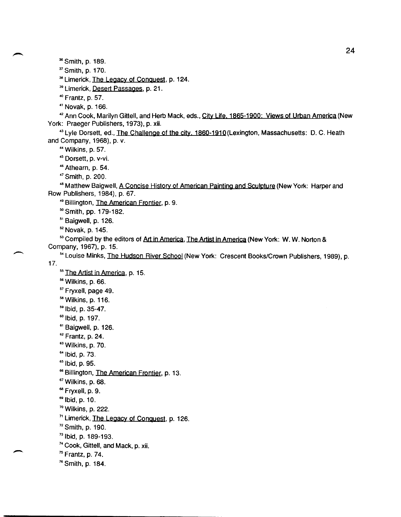36 Smith, p. 189.

<sup>37</sup> Smith, p. 170.

<sup>38</sup> Limerick, The Legacy of Conquest, p. 124.

<sup>39</sup>Limerick, Desert Passages, p. 21.

<sup>40</sup>Frantz, p. 57.

<sup>41</sup>Novak, p. 166.

<sup>42</sup> Ann Cook, Marilyn Gittell, and Herb Mack, eds., City Life. 1865-1900: Views of Urban America (New York: Praeger Publishers, 1973), p. xii.

<sup>43</sup> Lyle Dorsett, ed., The Challenge of the city. 1860-1910 (Lexington, Massachusetts: D. C. Heath and Company, 1968), p. v.

<sup>44</sup>Wilkins, p. 57.

<sup>45</sup> Dorsett, p. v-vi.

46 Athearn, p. 54.

<sup>47</sup>Smith, p. 200.

<sup>48</sup> Matthew Baigwell, A Concise History of American Painting and Sculpture (New York: Harper and Row Publishers, 1984), p. 67.

<sup>49</sup> Billington, The American Frontier, p. 9.

<sup>50</sup>Smith, pp. 179-182.

<sup>51</sup> Baigwell, p. 126.

 $52$  Novak, p. 145.

53 Compiled by the editors of Art in America, The Artist in America (New York: W. W. Norton & Company, 1967), p. 15.

<sup>54</sup> Louise Minks, **The Hudson River School** (New York: Crescent Books/Crown Publishers, 1989), p. 17.

<sup>55</sup> The Artist in America, p. 15.

<sup>56</sup>Wilkins, p. 66.

<sup>57</sup>Fryxell, page 49.

```
58Wilkins, p. 116.
```
59 Ibid, p. 35-47.

60 Ibid, p. 197.

<sup>61</sup> Baigwell, p. 126.

 $62$  Frantz, p. 24.

<sup>63</sup> Wilkins, p. 70.

64 Ibid, p. 73.

 $65$  Ibid, p. 95.

<sup>66</sup> Billington, The American Frontier, p. 13.

 $<sup>67</sup>$  Wilkins, p. 68.</sup>

<sup>68</sup>Fryxell, p. 9.

 $69$  Ibid, p. 10.

70 Wilkins, p. 222.

<sup>71</sup>Limerick, The Legacy of Conquest, p. 126.

 $72$  Smith, p. 190.

<sup>73</sup>Ibid, p. 189-193.

<sup>74</sup>Cook, Gittell, and Mack, p. xii.

 $<sup>75</sup>$  Frantz, p. 74.</sup>

 $\overline{\phantom{0}}$ 

76 Smith, p. 184.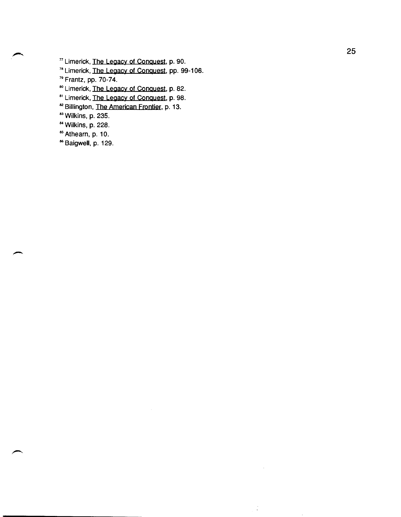<sup>77</sup>Limerick, The Legacy of ConQuest, p. 90.

<sup>78</sup> Limerick, The Legacy of Conquest, pp. 99-106.

<sup>79</sup> Frantz, pp. 70-74.

<sup>80</sup> Limerick, The Legacy of Conquest, p. 82.

<sup>81</sup> Limerick, The Legacy of Conquest, p. 98.

<sup>82</sup> Billington, The American Frontier, p. 13.

<sup>83</sup> Wilkins, p. 235.

<sup>84</sup>Wilkins, p. 228.

<sup>85</sup> Athearn, p. 10.

<sup>86</sup> Baigwell, p. 129.

 $\frac{1}{k}$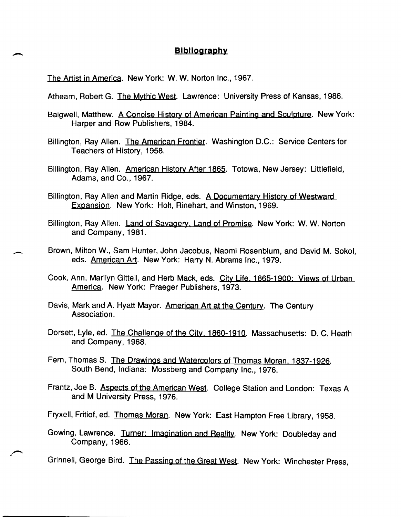## **Bibliography**

The Artist in America. New York: W. W. Norton Inc., 1967.

--

Athearn, Robert G. The Mythic West. Lawrence: University Press of Kansas, 1986.

Baigwell, Matthew. A Concise History of American Painting and Sculpture. New York: Harper and Row Publishers, 1984.

Billington, Ray Allen. The American Frontier. Washington D.C.: Service Centers for Teachers of History, 1958.

Billington, Ray Allen. American History After 1865. Totowa, New Jersey: Littlefield, Adams, and Co., 1967.

Billington, Ray Allen and Martin Ridge, eds. A Documentary History of Westward Expansion. New York: Holt, Rinehart, and Winston, 1969.

- Billington, Ray Allen. Land of Savagery, Land of Promise. New York: W. W. Norton and Company, 1981.
- Brown, Milton W., Sam Hunter, John Jacobus, Naomi Rosenblum, and David M. Sokol, eds. **American Art.** New York: Harry N. Abrams Inc., 1979.

Cook, Ann, Marilyn Gittell, and Herb Mack, eds. City Life. 1865-1900: Views of Urban America. New York: Praeger Publishers, 1973.

Davis, Mark and A. Hyatt Mayor. American Art at the Century. The Century Association.

Dorsett, Lyle, ed. The Challenge of the City. 1860-1910. Massachusetts: D. C. Heath and Company, 1968.

Fern, Thomas S. The Drawings and Watercolors of Thomas Moran. 1837-1926. South Bend, Indiana: Mossberg and Company Inc., 1976.

Frantz, Joe B. Aspects of the American West. College Station and London: Texas A and M University Press, 1976.

Fryxell, Fritiof, ed. Thomas Moran. New York: East Hampton Free Library, 1958.

Gowing, Lawrence. Turner: Imagination and Reality. New York: Doubleday and Company, 1966.

Grinnell, George Bird. The Passing of the Great West. New York: Winchester Press,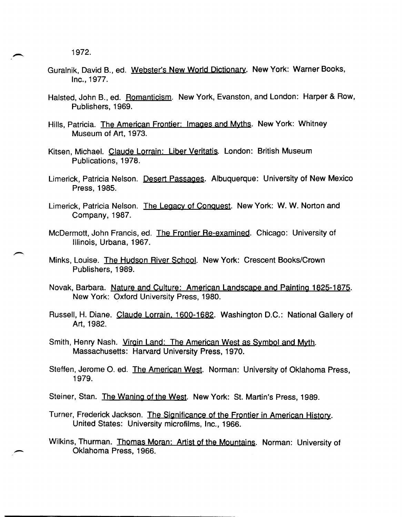- Guralnik, David B., ed. Webster's New World Dictionary. New York: Warner Books, Inc., 1977.
- Halsted, John B., ed. Romanticism. New York, Evanston, and London: Harper & Row, Publishers, 1969.
- Hills, Patricia. The American Frontier: Images and Myths. New York: Whitney Museum of Art, 1973.
- Kitsen, Michael. Claude Lorrain: Liber Veritatis. London: British Museum Publications, 1978.
- Limerick, Patricia Nelson. Desert Passages. Albuquerque: University of New Mexico Press, 1985.
- Limerick, Patricia Nelson. The Legacy of Conquest. New York: W. W. Norton and Company, 1987.
- McDermott, John Francis, ed. The Frontier Re-examined. Chicago: University of Illinois, Urbana, 1967.
- Minks, Louise. The Hudson River School. New York: Crescent Books/Crown Publishers, 1989.
- Novak, Barbara. Nature and Culture: American Landscape and Painting 1825-1875. New York: Oxford University Press, 1980.
- Russell, H. Diane. Claude Lorrain. 1600-1682. Washington D.C.: National Gallery of Art, 1982.
- Smith, Henry Nash. Virgin Land: The American West as Symbol and Myth. Massachusetts: Harvard University Press, 1970.
- Steffen, Jerome O. ed. The American West. Norman: University of Oklahoma Press, 1979.
- Steiner, Stan. The Waning of the West. New York: St. Martin's Press, 1989.
- Turner, Frederick Jackson. The Significance of the Frontier in American History. United States: University microfilms, Inc., 1966.
- Wilkins, Thurman. Thomas Moran: Artist of the Mountains. Norman: University of Oklahoma Press, 1966.